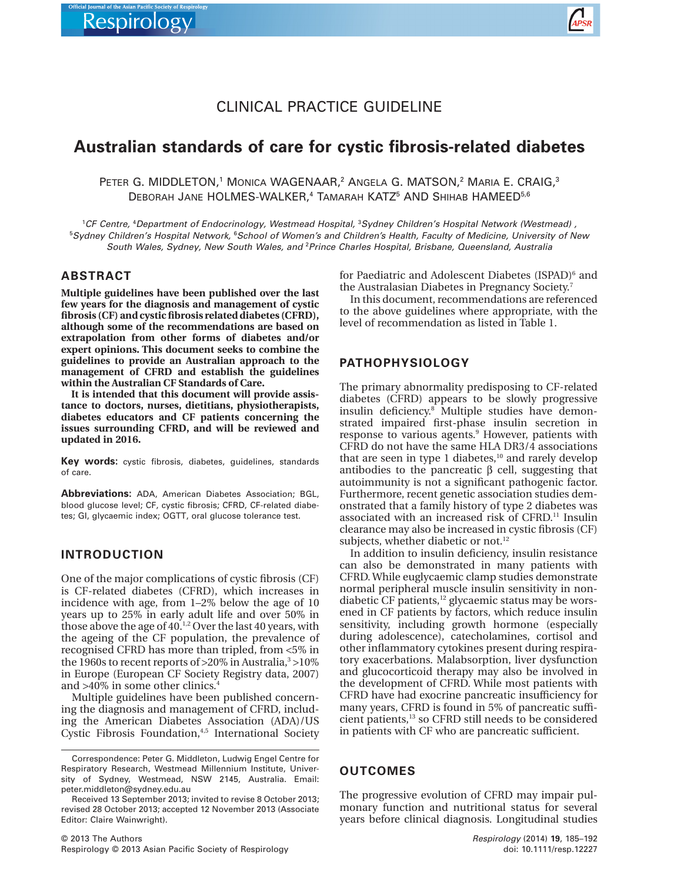

# CLINICAL PRACTICE GUIDELINE

# **Australian standards of care for cystic fibrosis-related diabetes**

PETER G. MIDDLETON,<sup>1</sup> MONICA WAGENAAR,<sup>2</sup> ANGELA G. MATSON,<sup>2</sup> MARIA E. CRAIG,<sup>3</sup> DEBORAH JANE HOLMES-WALKER,<sup>4</sup> TAMARAH KATZ<sup>5</sup> AND SHIHAB HAMEED<sup>5,6</sup>

1 *CF Centre,* <sup>4</sup> *Department of Endocrinology, Westmead Hospital,* <sup>3</sup> *Sydney Children's Hospital Network (Westmead) ,* <sup>5</sup>Sydney Children's Hospital Network, <sup>6</sup>School of Women's and Children's Health, Faculty of Medicine, University of New *South Wales, Sydney, New South Wales, and* <sup>2</sup> *Prince Charles Hospital, Brisbane, Queensland, Australia*

### **ABSTRACT**

**Multiple guidelines have been published over the last few years for the diagnosis and management of cystic fibrosis (CF) and cystic fibrosis related diabetes (CFRD), although some of the recommendations are based on extrapolation from other forms of diabetes and/or expert opinions. This document seeks to combine the guidelines to provide an Australian approach to the management of CFRD and establish the guidelines within the Australian CF Standards of Care.**

**It is intended that this document will provide assistance to doctors, nurses, dietitians, physiotherapists, diabetes educators and CF patients concerning the issues surrounding CFRD, and will be reviewed and updated in 2016.**

**Key words:** cystic fibrosis, diabetes, guidelines, standards of care.

**Abbreviations:** ADA, American Diabetes Association; BGL, blood glucose level; CF, cystic fibrosis; CFRD, CF-related diabetes; GI, glycaemic index; OGTT, oral glucose tolerance test.

#### **INTRODUCTION**

One of the major complications of cystic fibrosis (CF) is CF-related diabetes (CFRD), which increases in incidence with age, from 1–2% below the age of 10 years up to 25% in early adult life and over 50% in those above the age of  $40.12$ <sup>1,2</sup> Over the last 40 years, with the ageing of the CF population, the prevalence of recognised CFRD has more than tripled, from <5% in the 1960s to recent reports of  $>20\%$  in Australia,<sup>3</sup> $>10\%$ in Europe (European CF Society Registry data, 2007) and >40% in some other clinics.4

Multiple guidelines have been published concerning the diagnosis and management of CFRD, including the American Diabetes Association (ADA)/US Cystic Fibrosis Foundation,<sup>4,5</sup> International Society for Paediatric and Adolescent Diabetes (ISPAD)<sup>6</sup> and the Australasian Diabetes in Pregnancy Society.7

In this document, recommendations are referenced to the above guidelines where appropriate, with the level of recommendation as listed in Table 1.

#### **PATHOPHYSIOLOGY**

The primary abnormality predisposing to CF-related diabetes (CFRD) appears to be slowly progressive insulin deficiency.8 Multiple studies have demonstrated impaired first-phase insulin secretion in response to various agents.<sup>9</sup> However, patients with CFRD do not have the same HLA DR3/4 associations that are seen in type 1 diabetes, $10$  and rarely develop antibodies to the pancreatic β cell, suggesting that autoimmunity is not a significant pathogenic factor. Furthermore, recent genetic association studies demonstrated that a family history of type 2 diabetes was associated with an increased risk of CFRD.<sup>11</sup> Insulin clearance may also be increased in cystic fibrosis (CF) subjects, whether diabetic or not.<sup>12</sup>

In addition to insulin deficiency, insulin resistance can also be demonstrated in many patients with CFRD. While euglycaemic clamp studies demonstrate normal peripheral muscle insulin sensitivity in nondiabetic CF patients,<sup>12</sup> glycaemic status may be worsened in CF patients by factors, which reduce insulin sensitivity, including growth hormone (especially during adolescence), catecholamines, cortisol and other inflammatory cytokines present during respiratory exacerbations. Malabsorption, liver dysfunction and glucocorticoid therapy may also be involved in the development of CFRD. While most patients with CFRD have had exocrine pancreatic insufficiency for many years, CFRD is found in 5% of pancreatic sufficient patients,13 so CFRD still needs to be considered in patients with CF who are pancreatic sufficient.

### **OUTCOMES**

The progressive evolution of CFRD may impair pulmonary function and nutritional status for several years before clinical diagnosis. Longitudinal studies

Correspondence: Peter G. Middleton, Ludwig Engel Centre for Respiratory Research, Westmead Millennium Institute, University of Sydney, Westmead, NSW 2145, Australia. Email: peter.middleton@sydney.edu.au

Received 13 September 2013; invited to revise 8 October 2013; revised 28 October 2013; accepted 12 November 2013 (Associate Editor: Claire Wainwright).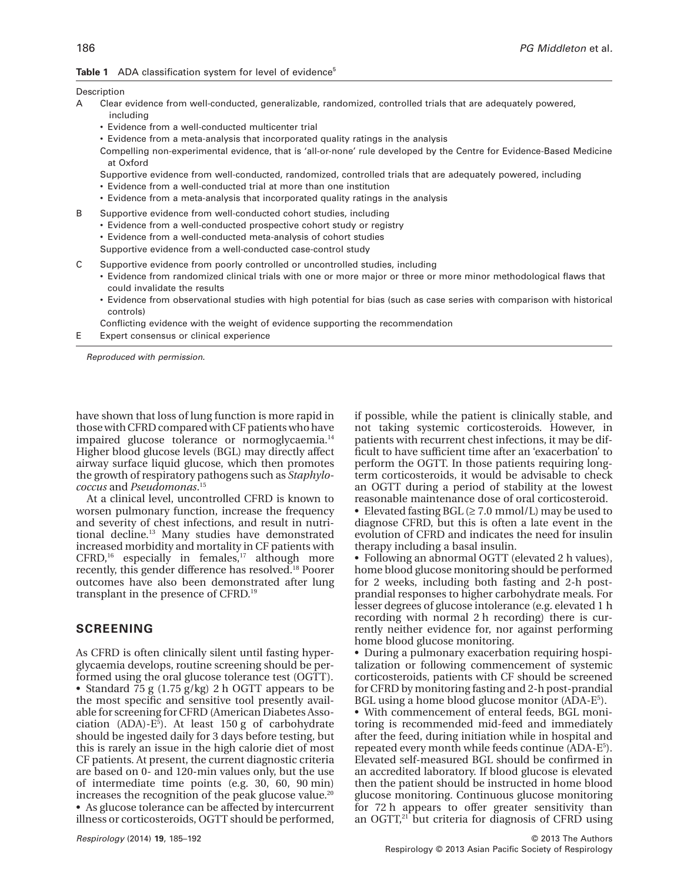#### Table 1 ADA classification system for level of evidence<sup>5</sup>

Description

- A Clear evidence from well-conducted, generalizable, randomized, controlled trials that are adequately powered, including
	- Evidence from a well-conducted multicenter trial
	- Evidence from a meta-analysis that incorporated quality ratings in the analysis
	- Compelling non-experimental evidence, that is 'all-or-none' rule developed by the Centre for Evidence-Based Medicine at Oxford
	- Supportive evidence from well-conducted, randomized, controlled trials that are adequately powered, including
	- Evidence from a well-conducted trial at more than one institution
	- Evidence from a meta-analysis that incorporated quality ratings in the analysis
- B Supportive evidence from well-conducted cohort studies, including
	- Evidence from a well-conducted prospective cohort study or registry
	- Evidence from a well-conducted meta-analysis of cohort studies

Supportive evidence from a well-conducted case-control study

- C Supportive evidence from poorly controlled or uncontrolled studies, including
	- Evidence from randomized clinical trials with one or more major or three or more minor methodological flaws that could invalidate the results
	- Evidence from observational studies with high potential for bias (such as case series with comparison with historical controls)
	- Conflicting evidence with the weight of evidence supporting the recommendation
- E Expert consensus or clinical experience

*Reproduced with permission.*

have shown that loss of lung function is more rapid in those with CFRD compared with CF patients who have impaired glucose tolerance or normoglycaemia.<sup>14</sup> Higher blood glucose levels (BGL) may directly affect airway surface liquid glucose, which then promotes the growth of respiratory pathogens such as *Staphylococcus* and *Pseudomonas*. 15

At a clinical level, uncontrolled CFRD is known to worsen pulmonary function, increase the frequency and severity of chest infections, and result in nutritional decline.<sup>13</sup> Many studies have demonstrated increased morbidity and mortality in CF patients with  $CFRD$ ,<sup>16</sup> especially in females,<sup>17</sup> although more recently, this gender difference has resolved.18 Poorer outcomes have also been demonstrated after lung transplant in the presence of CFRD.19

### **SCREENING**

As CFRD is often clinically silent until fasting hyperglycaemia develops, routine screening should be performed using the oral glucose tolerance test (OGTT). • Standard 75 g (1.75 g/kg) 2 h OGTT appears to be the most specific and sensitive tool presently available for screening for CFRD (American Diabetes Association (ADA)- $E^5$ ). At least 150 g of carbohydrate should be ingested daily for 3 days before testing, but this is rarely an issue in the high calorie diet of most CF patients. At present, the current diagnostic criteria are based on 0- and 120-min values only, but the use of intermediate time points (e.g. 30, 60, 90 min) increases the recognition of the peak glucose value.<sup>20</sup> • As glucose tolerance can be affected by intercurrent illness or corticosteroids, OGTT should be performed,

if possible, while the patient is clinically stable, and not taking systemic corticosteroids. However, in patients with recurrent chest infections, it may be difficult to have sufficient time after an 'exacerbation' to perform the OGTT. In those patients requiring longterm corticosteroids, it would be advisable to check an OGTT during a period of stability at the lowest reasonable maintenance dose of oral corticosteroid.

• Elevated fasting BGL  $(≥ 7.0 \text{ mmol/L})$  may be used to diagnose CFRD, but this is often a late event in the evolution of CFRD and indicates the need for insulin therapy including a basal insulin.

• Following an abnormal OGTT (elevated 2 h values), home blood glucose monitoring should be performed for 2 weeks, including both fasting and 2-h postprandial responses to higher carbohydrate meals. For lesser degrees of glucose intolerance (e.g. elevated 1 h recording with normal 2 h recording) there is currently neither evidence for, nor against performing home blood glucose monitoring.

• During a pulmonary exacerbation requiring hospitalization or following commencement of systemic corticosteroids, patients with CF should be screened for CFRD by monitoring fasting and 2-h post-prandial BGL using a home blood glucose monitor (ADA-E<sup>5</sup>).

• With commencement of enteral feeds, BGL monitoring is recommended mid-feed and immediately after the feed, during initiation while in hospital and repeated every month while feeds continue (ADA-E<sup>5</sup>). Elevated self-measured BGL should be confirmed in an accredited laboratory. If blood glucose is elevated then the patient should be instructed in home blood glucose monitoring. Continuous glucose monitoring for 72 h appears to offer greater sensitivity than an OGTT,<sup>21</sup> but criteria for diagnosis of CFRD using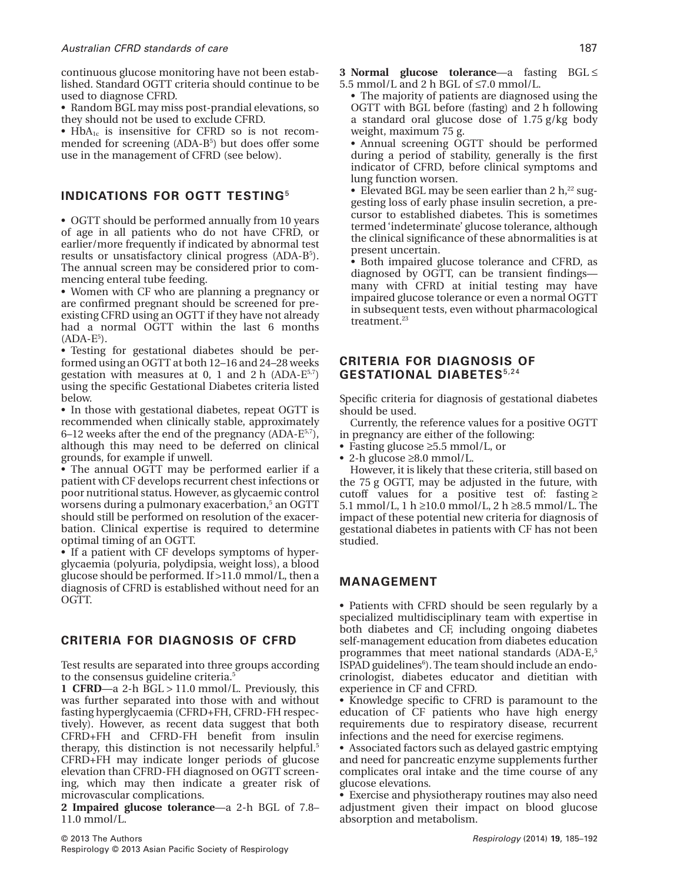continuous glucose monitoring have not been established. Standard OGTT criteria should continue to be used to diagnose CFRD.

• Random BGL may miss post-prandial elevations, so they should not be used to exclude CFRD.

 $\bullet$  HbA<sub>1c</sub> is insensitive for CFRD so is not recommended for screening (ADA-B<sup>5</sup>) but does offer some use in the management of CFRD (see below).

## **INDICATIONS FOR OGTT TESTING**<sup>5</sup>

• OGTT should be performed annually from 10 years of age in all patients who do not have CFRD, or earlier/more frequently if indicated by abnormal test results or unsatisfactory clinical progress (ADA-B<sup>5</sup>). The annual screen may be considered prior to commencing enteral tube feeding.

• Women with CF who are planning a pregnancy or are confirmed pregnant should be screened for preexisting CFRD using an OGTT if they have not already had a normal OGTT within the last 6 months  $(ADA-E<sup>5</sup>)$ .

• Testing for gestational diabetes should be performed using an OGTT at both 12–16 and 24–28 weeks gestation with measures at 0, 1 and 2 h  $(ADA-E<sup>5,7</sup>)$ using the specific Gestational Diabetes criteria listed below.

• In those with gestational diabetes, repeat OGTT is recommended when clinically stable, approximately 6–12 weeks after the end of the pregnancy (ADA-E5,7), although this may need to be deferred on clinical grounds, for example if unwell.

• The annual OGTT may be performed earlier if a patient with CF develops recurrent chest infections or poor nutritional status. However, as glycaemic control worsens during a pulmonary exacerbation,<sup>5</sup> an OGTT should still be performed on resolution of the exacerbation. Clinical expertise is required to determine optimal timing of an OGTT.

• If a patient with CF develops symptoms of hyperglycaemia (polyuria, polydipsia, weight loss), a blood glucose should be performed. If >11.0 mmol/L, then a diagnosis of CFRD is established without need for an OGTT.

## **CRITERIA FOR DIAGNOSIS OF CFRD**

Test results are separated into three groups according to the consensus guideline criteria.5

**1 CFRD**—a 2-h BGL > 11.0 mmol/L. Previously, this was further separated into those with and without fasting hyperglycaemia (CFRD+FH, CFRD-FH respectively). However, as recent data suggest that both CFRD+FH and CFRD-FH benefit from insulin therapy, this distinction is not necessarily helpful.5 CFRD+FH may indicate longer periods of glucose elevation than CFRD-FH diagnosed on OGTT screening, which may then indicate a greater risk of microvascular complications.

**2 Impaired glucose tolerance**—a 2-h BGL of 7.8– 11.0 mmol/L.

**3 Normal glucose tolerance**—a fasting BGL ≤ 5.5 mmol/L and 2 h BGL of ≤7.0 mmol/L.

- The majority of patients are diagnosed using the OGTT with BGL before (fasting) and 2 h following a standard oral glucose dose of 1.75 g/kg body weight, maximum 75 g.
- Annual screening OGTT should be performed during a period of stability, generally is the first indicator of CFRD, before clinical symptoms and lung function worsen.

• Elevated BGL may be seen earlier than 2  $h^{22}$  suggesting loss of early phase insulin secretion, a precursor to established diabetes. This is sometimes termed 'indeterminate' glucose tolerance, although the clinical significance of these abnormalities is at present uncertain.

• Both impaired glucose tolerance and CFRD, as diagnosed by OGTT, can be transient findings many with CFRD at initial testing may have impaired glucose tolerance or even a normal OGTT in subsequent tests, even without pharmacological treatment.<sup>23</sup>

## **CRITERIA FOR DIAGNOSIS OF GESTATIONAL DIABETES**5,24

Specific criteria for diagnosis of gestational diabetes should be used.

Currently, the reference values for a positive OGTT in pregnancy are either of the following:

- Fasting glucose ≥5.5 mmol/L, or
- 2-h glucose ≥8.0 mmol/L.

However, it is likely that these criteria, still based on the 75 g OGTT, may be adjusted in the future, with cutoff values for a positive test of: fasting  $\ge$ 5.1 mmol/L, 1 h ≥10.0 mmol/L, 2 h ≥8.5 mmol/L. The impact of these potential new criteria for diagnosis of gestational diabetes in patients with CF has not been studied.

## **MANAGEMENT**

• Patients with CFRD should be seen regularly by a specialized multidisciplinary team with expertise in both diabetes and CF, including ongoing diabetes self-management education from diabetes education programmes that meet national standards (ADA-E,<sup>5</sup>) ISPAD guidelines<sup>6</sup>). The team should include an endocrinologist, diabetes educator and dietitian with experience in CF and CFRD.

• Knowledge specific to CFRD is paramount to the education of CF patients who have high energy requirements due to respiratory disease, recurrent infections and the need for exercise regimens.

• Associated factors such as delayed gastric emptying and need for pancreatic enzyme supplements further complicates oral intake and the time course of any glucose elevations.

• Exercise and physiotherapy routines may also need adjustment given their impact on blood glucose absorption and metabolism.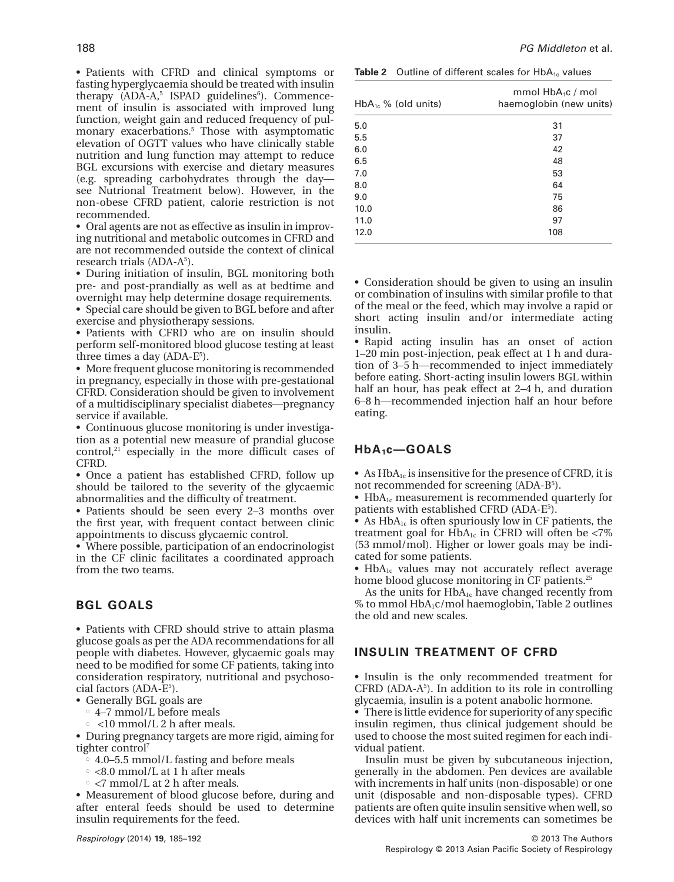• Patients with CFRD and clinical symptoms or fasting hyperglycaemia should be treated with insulin therapy (ADA-A,<sup>5</sup> ISPAD guidelines<sup>6</sup>). Commencement of insulin is associated with improved lung function, weight gain and reduced frequency of pulmonary exacerbations.<sup>5</sup> Those with asymptomatic elevation of OGTT values who have clinically stable nutrition and lung function may attempt to reduce BGL excursions with exercise and dietary measures (e.g. spreading carbohydrates through the day see Nutrional Treatment below). However, in the non-obese CFRD patient, calorie restriction is not

recommended. • Oral agents are not as effective as insulin in improving nutritional and metabolic outcomes in CFRD and are not recommended outside the context of clinical  $research$  trials  $(ADA-A<sup>5</sup>)$ .

• During initiation of insulin, BGL monitoring both pre- and post-prandially as well as at bedtime and overnight may help determine dosage requirements. • Special care should be given to BGL before and after

exercise and physiotherapy sessions.

• Patients with CFRD who are on insulin should perform self-monitored blood glucose testing at least three times a day  $(ADA-E<sup>5</sup>)$ .

• More frequent glucose monitoring is recommended in pregnancy, especially in those with pre-gestational CFRD. Consideration should be given to involvement of a multidisciplinary specialist diabetes—pregnancy service if available.

• Continuous glucose monitoring is under investigation as a potential new measure of prandial glucose control,21 especially in the more difficult cases of CFRD.

• Once a patient has established CFRD, follow up should be tailored to the severity of the glycaemic abnormalities and the difficulty of treatment.

• Patients should be seen every 2–3 months over the first year, with frequent contact between clinic appointments to discuss glycaemic control.

• Where possible, participation of an endocrinologist in the CF clinic facilitates a coordinated approach from the two teams.

## **BGL GOALS**

• Patients with CFRD should strive to attain plasma glucose goals as per the ADA recommendations for all people with diabetes. However, glycaemic goals may need to be modified for some CF patients, taking into consideration respiratory, nutritional and psychosocial factors (ADA-E<sup>5</sup>).

• Generally BGL goals are

○ 4–7 mmol/L before meals

○ <10 mmol/L 2 h after meals.

• During pregnancy targets are more rigid, aiming for tighter control<sup>7</sup>

 $\sim$  4.0–5.5 mmol/L fasting and before meals

○ <8.0 mmol/L at 1 h after meals

○ <7 mmol/L at 2 h after meals.

• Measurement of blood glucose before, during and after enteral feeds should be used to determine insulin requirements for the feed.

**Table 2** Outline of different scales for HbA<sub>1c</sub> values

| $HbA_{1c}$ % (old units) | mmol HbA <sub>1</sub> c / mol<br>haemoglobin (new units) |
|--------------------------|----------------------------------------------------------|
| 5.0                      | 31                                                       |
| 5.5                      | 37                                                       |
| 6.0                      | 42                                                       |
| 6.5                      | 48                                                       |
| 7.0                      | 53                                                       |
| 8.0                      | 64                                                       |
| 9.0                      | 75                                                       |
| 10.0                     | 86                                                       |
| 11.0                     | 97                                                       |
| 12.0                     | 108                                                      |
|                          |                                                          |

• Consideration should be given to using an insulin or combination of insulins with similar profile to that of the meal or the feed, which may involve a rapid or short acting insulin and/or intermediate acting insulin.

• Rapid acting insulin has an onset of action 1–20 min post-injection, peak effect at 1 h and duration of 3–5 h—recommended to inject immediately before eating. Short-acting insulin lowers BGL within half an hour, has peak effect at 2–4 h, and duration 6–8 h—recommended injection half an hour before eating.

### **HbA1c—GOALS**

• As  $HbA_{1c}$  is insensitive for the presence of CFRD, it is not recommended for screening (ADA-B<sup>5</sup>).

•  $HbA_{1c}$  measurement is recommended quarterly for patients with established CFRD (ADA-E<sup>5</sup>).

• As  $HbA_{1c}$  is often spuriously low in CF patients, the treatment goal for  $HbA_{1c}$  in CFRD will often be <7% (53 mmol/mol). Higher or lower goals may be indicated for some patients.

• HbA<sub>1c</sub> values may not accurately reflect average home blood glucose monitoring in CF patients.<sup>25</sup>

As the units for  $HbA_{1c}$  have changed recently from  $%$  to mmol HbA<sub>1</sub>c/mol haemoglobin, Table 2 outlines the old and new scales.

### **INSULIN TREATMENT OF CFRD**

• Insulin is the only recommended treatment for  $CFRD$  (ADA- $A<sup>5</sup>$ ). In addition to its role in controlling glycaemia, insulin is a potent anabolic hormone.

• There is little evidence for superiority of any specific insulin regimen, thus clinical judgement should be used to choose the most suited regimen for each individual patient.

Insulin must be given by subcutaneous injection, generally in the abdomen. Pen devices are available with increments in half units (non-disposable) or one unit (disposable and non-disposable types). CFRD patients are often quite insulin sensitive when well, so devices with half unit increments can sometimes be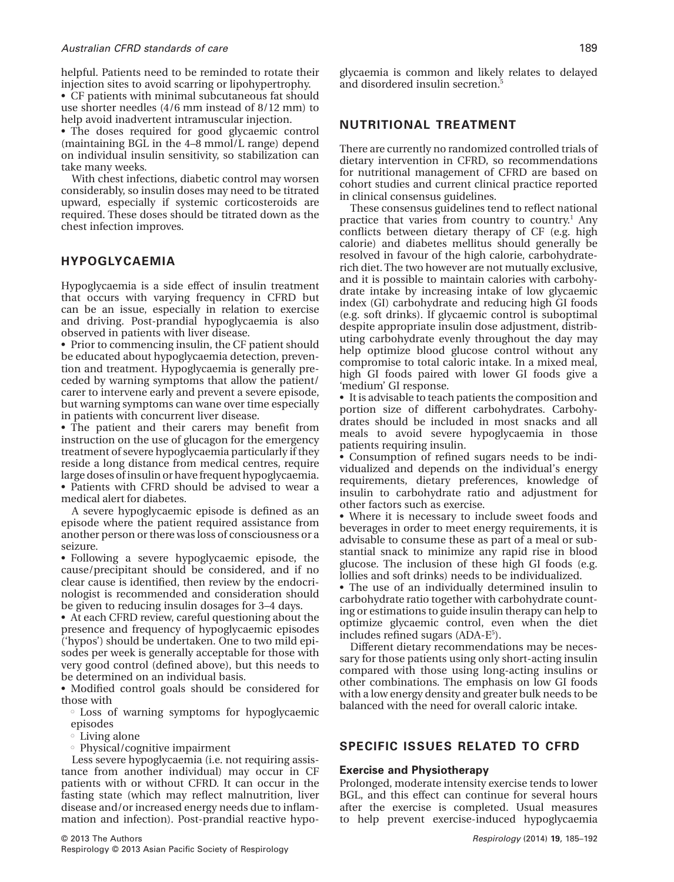#### *Australian CFRD standards of care* 189

helpful. Patients need to be reminded to rotate their injection sites to avoid scarring or lipohypertrophy.

• CF patients with minimal subcutaneous fat should use shorter needles (4/6 mm instead of 8/12 mm) to help avoid inadvertent intramuscular injection.

• The doses required for good glycaemic control (maintaining BGL in the 4–8 mmol/L range) depend on individual insulin sensitivity, so stabilization can take many weeks.

With chest infections, diabetic control may worsen considerably, so insulin doses may need to be titrated upward, especially if systemic corticosteroids are required. These doses should be titrated down as the chest infection improves.

#### **HYPOGLYCAEMIA**

Hypoglycaemia is a side effect of insulin treatment that occurs with varying frequency in CFRD but can be an issue, especially in relation to exercise and driving. Post-prandial hypoglycaemia is also observed in patients with liver disease.

• Prior to commencing insulin, the CF patient should be educated about hypoglycaemia detection, prevention and treatment. Hypoglycaemia is generally preceded by warning symptoms that allow the patient/ carer to intervene early and prevent a severe episode, but warning symptoms can wane over time especially in patients with concurrent liver disease.

• The patient and their carers may benefit from instruction on the use of glucagon for the emergency treatment of severe hypoglycaemia particularly if they reside a long distance from medical centres, require large doses of insulin or have frequent hypoglycaemia.

• Patients with CFRD should be advised to wear a medical alert for diabetes.

A severe hypoglycaemic episode is defined as an episode where the patient required assistance from another person or there was loss of consciousness or a seizure.

• Following a severe hypoglycaemic episode, the cause/precipitant should be considered, and if no clear cause is identified, then review by the endocrinologist is recommended and consideration should be given to reducing insulin dosages for 3–4 days.

• At each CFRD review, careful questioning about the presence and frequency of hypoglycaemic episodes ('hypos') should be undertaken. One to two mild episodes per week is generally acceptable for those with very good control (defined above), but this needs to be determined on an individual basis.

• Modified control goals should be considered for those with

○ Loss of warning symptoms for hypoglycaemic episodes

○ Living alone

○ Physical/cognitive impairment

Less severe hypoglycaemia (i.e. not requiring assistance from another individual) may occur in CF patients with or without CFRD. It can occur in the fasting state (which may reflect malnutrition, liver disease and/or increased energy needs due to inflammation and infection). Post-prandial reactive hypoglycaemia is common and likely relates to delayed and disordered insulin secretion.<sup>5</sup>

#### **NUTRITIONAL TREATMENT**

There are currently no randomized controlled trials of dietary intervention in CFRD, so recommendations for nutritional management of CFRD are based on cohort studies and current clinical practice reported in clinical consensus guidelines.

These consensus guidelines tend to reflect national practice that varies from country to country.<sup>1</sup> Any conflicts between dietary therapy of CF (e.g. high calorie) and diabetes mellitus should generally be resolved in favour of the high calorie, carbohydraterich diet. The two however are not mutually exclusive, and it is possible to maintain calories with carbohydrate intake by increasing intake of low glycaemic index (GI) carbohydrate and reducing high GI foods (e.g. soft drinks). If glycaemic control is suboptimal despite appropriate insulin dose adjustment, distributing carbohydrate evenly throughout the day may help optimize blood glucose control without any compromise to total caloric intake. In a mixed meal, high GI foods paired with lower GI foods give a 'medium' GI response.

• It is advisable to teach patients the composition and portion size of different carbohydrates. Carbohydrates should be included in most snacks and all meals to avoid severe hypoglycaemia in those patients requiring insulin.

• Consumption of refined sugars needs to be individualized and depends on the individual's energy requirements, dietary preferences, knowledge of insulin to carbohydrate ratio and adjustment for other factors such as exercise.

• Where it is necessary to include sweet foods and beverages in order to meet energy requirements, it is advisable to consume these as part of a meal or substantial snack to minimize any rapid rise in blood glucose. The inclusion of these high GI foods (e.g. lollies and soft drinks) needs to be individualized.

• The use of an individually determined insulin to carbohydrate ratio together with carbohydrate counting or estimations to guide insulin therapy can help to optimize glycaemic control, even when the diet includes refined sugars (ADA-E<sup>5</sup>).

Different dietary recommendations may be necessary for those patients using only short-acting insulin compared with those using long-acting insulins or other combinations. The emphasis on low GI foods with a low energy density and greater bulk needs to be balanced with the need for overall caloric intake.

### **SPECIFIC ISSUES RELATED TO CFRD**

#### **Exercise and Physiotherapy**

Prolonged, moderate intensity exercise tends to lower BGL, and this effect can continue for several hours after the exercise is completed. Usual measures to help prevent exercise-induced hypoglycaemia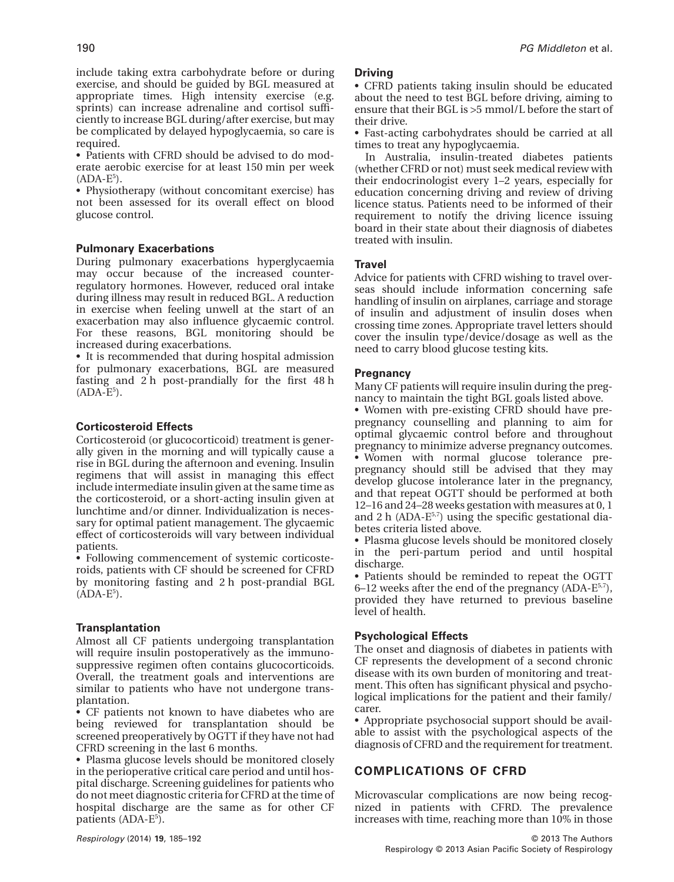include taking extra carbohydrate before or during exercise, and should be guided by BGL measured at appropriate times. High intensity exercise (e.g. sprints) can increase adrenaline and cortisol sufficiently to increase BGL during/after exercise, but may be complicated by delayed hypoglycaemia, so care is required.

• Patients with CFRD should be advised to do moderate aerobic exercise for at least 150 min per week  $(ADA-E<sup>5</sup>)$ .

• Physiotherapy (without concomitant exercise) has not been assessed for its overall effect on blood glucose control.

### **Pulmonary Exacerbations**

During pulmonary exacerbations hyperglycaemia may occur because of the increased counterregulatory hormones. However, reduced oral intake during illness may result in reduced BGL. A reduction in exercise when feeling unwell at the start of an exacerbation may also influence glycaemic control. For these reasons, BGL monitoring should be increased during exacerbations.

• It is recommended that during hospital admission for pulmonary exacerbations, BGL are measured fasting and 2 h post-prandially for the first 48 h  $(ADA-E<sup>5</sup>)$ .

### **Corticosteroid Effects**

Corticosteroid (or glucocorticoid) treatment is generally given in the morning and will typically cause a rise in BGL during the afternoon and evening. Insulin regimens that will assist in managing this effect include intermediate insulin given at the same time as the corticosteroid, or a short-acting insulin given at lunchtime and/or dinner. Individualization is necessary for optimal patient management. The glycaemic effect of corticosteroids will vary between individual patients.

• Following commencement of systemic corticosteroids, patients with CF should be screened for CFRD by monitoring fasting and 2 h post-prandial BGL  $(ADA-E<sup>5</sup>)$ .

### **Transplantation**

Almost all CF patients undergoing transplantation will require insulin postoperatively as the immunosuppressive regimen often contains glucocorticoids. Overall, the treatment goals and interventions are similar to patients who have not undergone transplantation.

• CF patients not known to have diabetes who are being reviewed for transplantation should be screened preoperatively by OGTT if they have not had CFRD screening in the last 6 months.

• Plasma glucose levels should be monitored closely in the perioperative critical care period and until hospital discharge. Screening guidelines for patients who do not meet diagnostic criteria for CFRD at the time of hospital discharge are the same as for other CF patients (ADA-E<sup>5</sup>).

#### **Driving**

• CFRD patients taking insulin should be educated about the need to test BGL before driving, aiming to ensure that their BGL is >5 mmol/L before the start of their drive.

• Fast-acting carbohydrates should be carried at all times to treat any hypoglycaemia.

In Australia, insulin-treated diabetes patients (whether CFRD or not) must seek medical review with their endocrinologist every 1–2 years, especially for education concerning driving and review of driving licence status. Patients need to be informed of their requirement to notify the driving licence issuing board in their state about their diagnosis of diabetes treated with insulin.

### **Travel**

Advice for patients with CFRD wishing to travel overseas should include information concerning safe handling of insulin on airplanes, carriage and storage of insulin and adjustment of insulin doses when crossing time zones. Appropriate travel letters should cover the insulin type/device/dosage as well as the need to carry blood glucose testing kits.

### **Pregnancy**

Many CF patients will require insulin during the pregnancy to maintain the tight BGL goals listed above.

• Women with pre-existing CFRD should have prepregnancy counselling and planning to aim for optimal glycaemic control before and throughout pregnancy to minimize adverse pregnancy outcomes. • Women with normal glucose tolerance prepregnancy should still be advised that they may develop glucose intolerance later in the pregnancy, and that repeat OGTT should be performed at both 12–16 and 24–28 weeks gestation with measures at 0, 1 and 2 h (ADA-E<sup>5,7</sup>) using the specific gestational diabetes criteria listed above.

• Plasma glucose levels should be monitored closely in the peri-partum period and until hospital discharge.

• Patients should be reminded to repeat the OGTT 6–12 weeks after the end of the pregnancy  $(ADA-E<sup>5,7</sup>)$ , provided they have returned to previous baseline level of health.

## **Psychological Effects**

The onset and diagnosis of diabetes in patients with CF represents the development of a second chronic disease with its own burden of monitoring and treatment. This often has significant physical and psychological implications for the patient and their family/ carer.

• Appropriate psychosocial support should be available to assist with the psychological aspects of the diagnosis of CFRD and the requirement for treatment.

## **COMPLICATIONS OF CFRD**

Microvascular complications are now being recognized in patients with CFRD. The prevalence increases with time, reaching more than 10% in those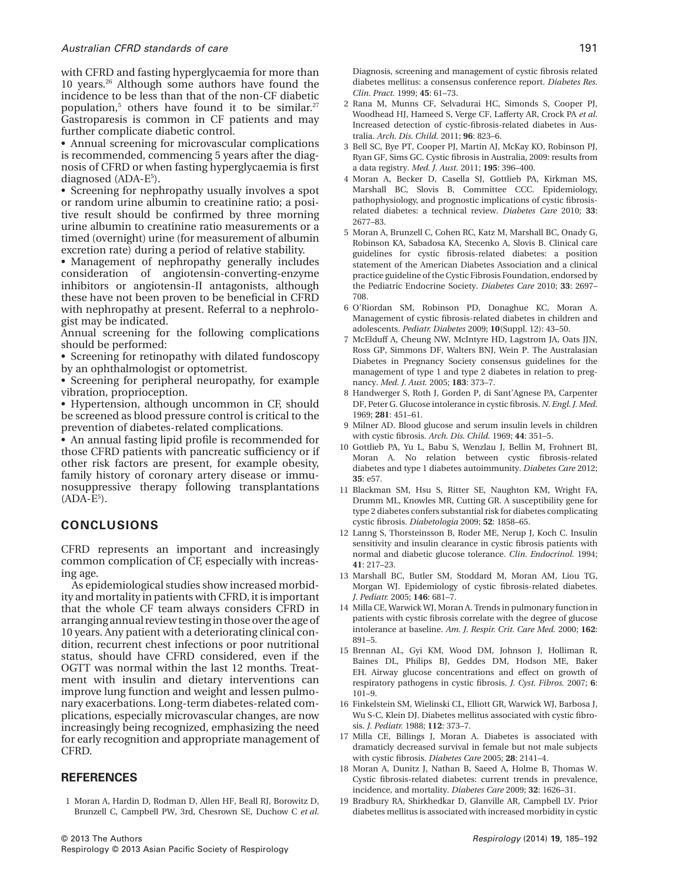#### *Australian CFRD standards of care* 191

with CFRD and fasting hyperglycaemia for more than 10 years.26 Although some authors have found the incidence to be less than that of the non-CF diabetic population,<sup>5</sup> others have found it to be similar.<sup>27</sup> Gastroparesis is common in CF patients and may further complicate diabetic control.

• Annual screening for microvascular complications is recommended, commencing 5 years after the diagnosis of CFRD or when fasting hyperglycaemia is first diagnosed  $(ADA-E<sup>5</sup>)$ .

• Screening for nephropathy usually involves a spot or random urine albumin to creatinine ratio; a positive result should be confirmed by three morning urine albumin to creatinine ratio measurements or a timed (overnight) urine (for measurement of albumin excretion rate) during a period of relative stability.

• Management of nephropathy generally includes consideration of angiotensin-converting-enzyme inhibitors or angiotensin-II antagonists, although these have not been proven to be beneficial in CFRD with nephropathy at present. Referral to a nephrologist may be indicated.

Annual screening for the following complications should be performed:

• Screening for retinopathy with dilated fundoscopy by an ophthalmologist or optometrist.

• Screening for peripheral neuropathy, for example vibration, proprioception.

• Hypertension, although uncommon in CF, should be screened as blood pressure control is critical to the prevention of diabetes-related complications.

• An annual fasting lipid profile is recommended for those CFRD patients with pancreatic sufficiency or if other risk factors are present, for example obesity, family history of coronary artery disease or immunosuppressive therapy following transplantations  $(ADA-E<sup>5</sup>)$ .

### **CONCLUSIONS**

CFRD represents an important and increasingly common complication of CF, especially with increasing age.

As epidemiological studies show increased morbidity and mortality in patients with CFRD, it is important that the whole CF team always considers CFRD in arranging annual review testingin those over the age of 10 years. Any patient with a deteriorating clinical condition, recurrent chest infections or poor nutritional status, should have CFRD considered, even if the OGTT was normal within the last 12 months. Treatment with insulin and dietary interventions can improve lung function and weight and lessen pulmonary exacerbations. Long-term diabetes-related complications, especially microvascular changes, are now increasingly being recognized, emphasizing the need for early recognition and appropriate management of CFRD.

#### **REFERENCES**

1 Moran A, Hardin D, Rodman D, Allen HF, Beall RJ, Borowitz D, Brunzell C, Campbell PW, 3rd, Chesrown SE, Duchow C *et al*. Diagnosis, screening and management of cystic fibrosis related diabetes mellitus: a consensus conference report. *Diabetes Res. Clin. Pract.* 1999; **45**: 61–73.

- 2 Rana M, Munns CF, Selvadurai HC, Simonds S, Cooper PJ, Woodhead HJ, Hameed S, Verge CF, Lafferty AR, Crock PA *et al*. Increased detection of cystic-fibrosis-related diabetes in Australia. *Arch. Dis. Child.* 2011; **96**: 823–6.
- 3 Bell SC, Bye PT, Cooper PJ, Martin AJ, McKay KO, Robinson PJ, Ryan GF, Sims GC. Cystic fibrosis in Australia, 2009: results from a data registry. *Med. J. Aust.* 2011; **195**: 396–400.
- 4 Moran A, Becker D, Casella SJ, Gottlieb PA, Kirkman MS, Marshall BC, Slovis B, Committee CCC. Epidemiology, pathophysiology, and prognostic implications of cystic fibrosisrelated diabetes: a technical review. *Diabetes Care* 2010; **33**: 2677–83.
- 5 Moran A, Brunzell C, Cohen RC, Katz M, Marshall BC, Onady G, Robinson KA, Sabadosa KA, Stecenko A, Slovis B. Clinical care guidelines for cystic fibrosis-related diabetes: a position statement of the American Diabetes Association and a clinical practice guideline of the Cystic Fibrosis Foundation, endorsed by the Pediatric Endocrine Society. *Diabetes Care* 2010; **33**: 2697– 708.
- 6 O'Riordan SM, Robinson PD, Donaghue KC, Moran A. Management of cystic fibrosis-related diabetes in children and adolescents. *Pediatr. Diabetes* 2009; **10**(Suppl. 12): 43–50.
- 7 McElduff A, Cheung NW, McIntyre HD, Lagstrom JA, Oats JJN, Ross GP, Simmons DF, Walters BNJ, Wein P. The Australasian Diabetes in Pregnancy Society consensus guidelines for the management of type 1 and type 2 diabetes in relation to pregnancy. *Med. J. Aust.* 2005; **183**: 373–7.
- 8 Handwerger S, Roth J, Gorden P, di Sant'Agnese PA, Carpenter DF, Peter G. Glucose intolerance in cystic fibrosis. *N. Engl. J.Med.* 1969; **281**: 451–61.
- 9 Milner AD. Blood glucose and serum insulin levels in children with cystic fibrosis. *Arch. Dis. Child.* 1969; **44**: 351–5.
- 10 Gottlieb PA, Yu L, Babu S, Wenzlau J, Bellin M, Frohnert BI, Moran A. No relation between cystic fibrosis-related diabetes and type 1 diabetes autoimmunity. *Diabetes Care* 2012; **35**: e57.
- 11 Blackman SM, Hsu S, Ritter SE, Naughton KM, Wright FA, Drumm ML, Knowles MR, Cutting GR. A susceptibility gene for type 2 diabetes confers substantial risk for diabetes complicating cystic fibrosis. *Diabetologia* 2009; **52**: 1858–65.
- 12 Lanng S, Thorsteinsson B, Roder ME, Nerup J, Koch C. Insulin sensitivity and insulin clearance in cystic fibrosis patients with normal and diabetic glucose tolerance. *Clin. Endocrinol.* 1994; **41**: 217–23.
- 13 Marshall BC, Butler SM, Stoddard M, Moran AM, Liou TG, Morgan WJ. Epidemiology of cystic fibrosis-related diabetes. *J. Pediatr.* 2005; **146**: 681–7.
- 14 Milla CE, Warwick WJ, Moran A. Trends in pulmonary function in patients with cystic fibrosis correlate with the degree of glucose intolerance at baseline. *Am. J. Respir. Crit. Care Med.* 2000; **162**: 891–5.
- 15 Brennan AL, Gyi KM, Wood DM, Johnson J, Holliman R, Baines DL, Philips BJ, Geddes DM, Hodson ME, Baker EH. Airway glucose concentrations and effect on growth of respiratory pathogens in cystic fibrosis. *J. Cyst. Fibros.* 2007; **6**: 101–9.
- 16 Finkelstein SM, Wielinski CL, Elliott GR, Warwick WJ, Barbosa J, Wu S-C, Klein DJ. Diabetes mellitus associated with cystic fibrosis. *J. Pediatr.* 1988; **112**: 373–7.
- 17 Milla CE, Billings J, Moran A. Diabetes is associated with dramaticly decreased survival in female but not male subjects with cystic fibrosis. *Diabetes Care* 2005; **28**: 2141–4.
- 18 Moran A, Dunitz J, Nathan B, Saeed A, Holme B, Thomas W. Cystic fibrosis-related diabetes: current trends in prevalence, incidence, and mortality. *Diabetes Care* 2009; **32**: 1626–31.
- 19 Bradbury RA, Shirkhedkar D, Glanville AR, Campbell LV. Prior diabetes mellitus is associated with increased morbidity in cystic